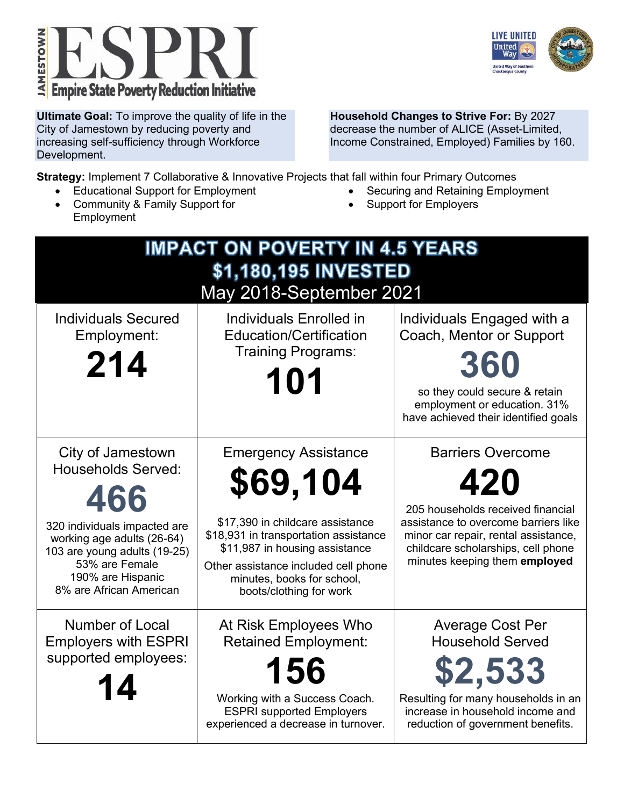



**Ultimate Goal:** To improve the quality of life in the City of Jamestown by reducing poverty and increasing self-sufficiency through Workforce Development.

**Household Changes to Strive For:** By 2027 decrease the number of ALICE (Asset-Limited, Income Constrained, Employed) Families by 160.

**Strategy:** Implement 7 Collaborative & Innovative Projects that fall within four Primary Outcomes

- Educational Support for Employment
- Community & Family Support for Employment
- Securing and Retaining Employment
- Support for Employers

| <b>IMPACT ON POVERTY IN 4.5 YEARS</b><br>\$1,180,195 INVESTED<br>May 2018-September 2021                                                                                                                              |                                                                                                                                                                                                                                                         |                                                                                                                                                                                                                             |  |  |  |
|-----------------------------------------------------------------------------------------------------------------------------------------------------------------------------------------------------------------------|---------------------------------------------------------------------------------------------------------------------------------------------------------------------------------------------------------------------------------------------------------|-----------------------------------------------------------------------------------------------------------------------------------------------------------------------------------------------------------------------------|--|--|--|
| <b>Individuals Secured</b><br>Employment:<br>214                                                                                                                                                                      | Individuals Enrolled in<br><b>Education/Certification</b><br><b>Training Programs:</b><br>101                                                                                                                                                           | Individuals Engaged with a<br>Coach, Mentor or Support<br>360<br>so they could secure & retain<br>employment or education. 31%<br>have achieved their identified goals                                                      |  |  |  |
| City of Jamestown<br><b>Households Served:</b><br>466<br>320 individuals impacted are<br>working age adults (26-64)<br>103 are young adults (19-25)<br>53% are Female<br>190% are Hispanic<br>8% are African American | <b>Emergency Assistance</b><br>\$69,104<br>\$17,390 in childcare assistance<br>\$18,931 in transportation assistance<br>\$11,987 in housing assistance<br>Other assistance included cell phone<br>minutes, books for school,<br>boots/clothing for work | <b>Barriers Overcome</b><br>420<br>205 households received financial<br>assistance to overcome barriers like<br>minor car repair, rental assistance,<br>childcare scholarships, cell phone<br>minutes keeping them employed |  |  |  |
| Number of Local<br><b>Employers with ESPRI</b><br>supported employees:<br>14                                                                                                                                          | At Risk Employees Who<br><b>Retained Employment:</b><br>156<br>Working with a Success Coach.<br><b>ESPRI</b> supported Employers<br>experienced a decrease in turnover.                                                                                 | <b>Average Cost Per</b><br><b>Household Served</b><br>\$2,533<br>Resulting for many households in an<br>increase in household income and<br>reduction of government benefits.                                               |  |  |  |